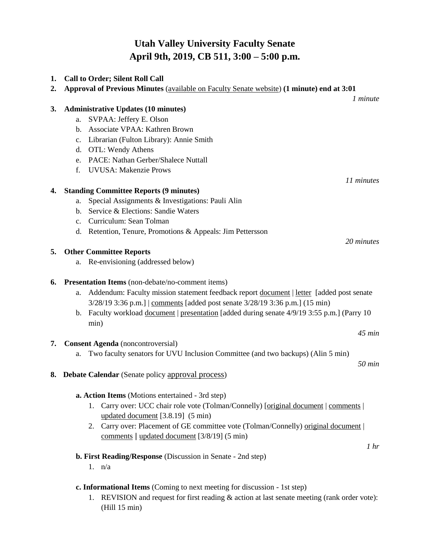## **Utah Valley University Faculty Senate April 9th, 2019, CB 511, 3:00 – 5:00 p.m.**

| 1. | <b>Call to Order; Silent Roll Call</b>                                                             |
|----|----------------------------------------------------------------------------------------------------|
| 2. | Approval of Previous Minutes ( <i>available on Faculty Senate website</i> ) (1 minute) end at 3:01 |
|    | 1 minute                                                                                           |
| 3. | <b>Administrative Updates (10 minutes)</b>                                                         |
|    | SVPAA: Jeffery E. Olson<br>a.<br>Associate VPAA: Kathren Brown                                     |
|    | b.                                                                                                 |
|    | Librarian (Fulton Library): Annie Smith<br>$c_{\cdot}$                                             |
|    | d. OTL: Wendy Athens                                                                               |
|    | PACE: Nathan Gerber/Shalece Nuttall<br>e.                                                          |
|    | <b>UVUSA: Makenzie Prows</b><br>f.                                                                 |
|    | 11 minutes                                                                                         |
| 4. | <b>Standing Committee Reports (9 minutes)</b>                                                      |
|    | Special Assignments & Investigations: Pauli Alin<br>a.                                             |
|    | Service & Elections: Sandie Waters<br>b.                                                           |
|    | c. Curriculum: Sean Tolman                                                                         |
|    | d. Retention, Tenure, Promotions & Appeals: Jim Pettersson                                         |
|    | 20 minutes                                                                                         |
| 5. | <b>Other Committee Reports</b>                                                                     |
|    | Re-envisioning (addressed below)<br>a.                                                             |
| 6. | Presentation Items (non-debate/no-comment items)                                                   |
|    | Addendum: Faculty mission statement feedback report document   letter [added post senate<br>a.     |
|    | 3/28/19 3:36 p.m.]   comments [added post senate 3/28/19 3:36 p.m.] (15 min)                       |
|    | Faculty workload document   presentation [added during senate 4/9/19 3:55 p.m.] (Parry 10<br>b.    |
|    | min)                                                                                               |
|    | $45$ min                                                                                           |
| 7. | <b>Consent Agenda</b> (noncontroversial)                                                           |
|    | Two faculty senators for UVU Inclusion Committee (and two backups) (Alin 5 min)<br>a.              |
|    | $50$ min                                                                                           |
|    | <b>8.</b> Debate Calendar (Senate policy approval process)                                         |
|    |                                                                                                    |
|    | a. Action Items (Motions entertained - 3rd step)                                                   |
|    | 1. Carry over: UCC chair role vote (Tolman/Connelly) [original document   comments                 |
|    | updated document [3.8.19] (5 min)                                                                  |
|    | 2. Carry over: Placement of GE committee vote (Tolman/Connelly) original document                  |
|    | comments   updated document [3/8/19] (5 min)                                                       |
|    | 1 <sup>hr</sup>                                                                                    |
|    | <b>b. First Reading/Response</b> (Discussion in Senate - 2nd step)                                 |
|    | 1. $n/a$                                                                                           |
|    |                                                                                                    |
|    | c. Informational Items (Coming to next meeting for discussion - 1st step)                          |

1. REVISION and request for first reading & action at last senate meeting (rank order vote): (Hill 15 min)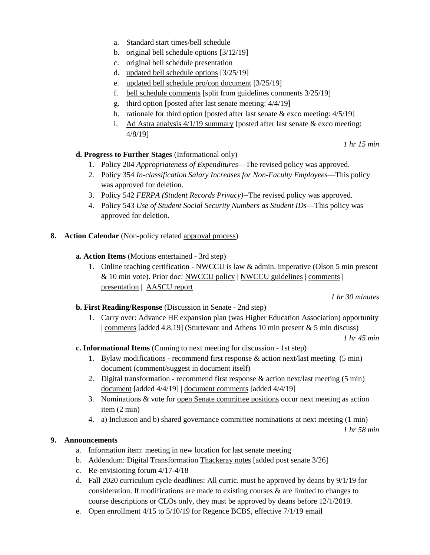- a. Standard start times/bell schedule
- b. [original bell schedule options](https://drive.google.com/open?id=1oeO2O4IrIoE4sA1RTBXIiYeuSmcE3lV2) [3/12/19]
- c. [original bell schedule presentation](https://drive.google.com/open?id=1FvE8okWv0NQy4PlXfS0CsOUlqhegcey1)
- d. [updated bell schedule options](https://drive.google.com/open?id=19GN-Z-rho9UFSL9oTVukqVdPHOUvJv7F) [3/25/19]
- e. [updated bell schedule pro/con document](https://drive.google.com/open?id=1DBEkBpmkpAazibpAfN2w70XWuVnSigR9) [3/25/19]
- f. [bell schedule comments](https://docs.google.com/document/d/1hpHLw4-1wCuVEtIg7Z4ZCBMm5SFdntDdnyF0mcyXspc/edit?usp=sharing) [split from guidelines comments 3/25/19]
- g. [third option](https://drive.google.com/open?id=1YJEfMBEfXPbC4lpd0Ipj9l8aDxebuzzY) [posted after last senate meeting: 4/4/19]
- h. [rationale for third option](https://docs.google.com/document/d/1aVgBGRdGaub9q9kBt-57OlzBy3_XmofcvJ443I-upBk/edit?usp=sharing) [posted after last senate  $\&$  exco meeting: 4/5/19]
- i. Ad Astra analysis  $4/1/19$  summary [posted after last senate  $\&$  exco meeting: 4/8/19]

**d. Progress to Further Stages** (Informational only)

- 1. Policy 204 *Appropriateness of Expenditures*—The revised policy was approved.
- 2. Policy 354 *In-classification Salary Increases for Non-Faculty Employees*—This policy was approved for deletion.
- 3. Policy 542 *FERPA (Student Records Privacy)*--The revised policy was approved.
- 4. Policy 543 *Use of Student Social Security Numbers as Student IDs*—This policy was approved for deletion.
- **8. Action Calendar** (Non-policy related [approval process\)](https://docs.google.com/document/d/1ZysEECw97M4r9WoDRP43UkiTuGeuK0QIeYit67dJEWs/edit?usp=sharing)
	- **a. Action Items** (Motions entertained 3rd step)
		- 1. Online teaching certification NWCCU is law & admin. imperative (Olson 5 min present & 10 min vote). Prior doc: [NWCCU policy](http://www.nwccu.org/wp-content/uploads/2017/05/Distance-Education-Policy.pdf) | [NWCCU guidelines](http://www.nwccu.org/wp-content/uploads/2016/12/Guidelines-for-Evaluating-Distance-Education.pdf) | [comments](https://docs.google.com/document/d/1JnRr3g4V7oGul1kF9P8Y772e2Mj5mRwGWrZOL3M-0rs/edit?usp=sharing) | [presentation](https://docs.google.com/presentation/d/11jdGF_pY-eIytFKNpgKf7wNlB_eEToekwWg3sJwFVos/edit?usp=sharing) | [AASCU report](https://www.learninghouse.com/knowledge-center/research-reports/online-learning-at-public-universities/)

*1 hr 30 minutes*

*1 hr 15 min*

## **b. First Reading/Response** (Discussion in Senate - 2nd step)

1. Carry over: [Advance HE expansion plan](https://docs.google.com/document/d/1yxrhxee77hvEumLuVMiCOCeePE5j2G1KlEYE2MmMLaw/edit?usp=sharing) (was Higher Education Association) opportunity | [comments](https://docs.google.com/document/d/1YgNkjH3adkEsHLBUHEeX6HP-6Zyewkfa9qUa6fD2f3M/edit?usp=sharing) [added 4.8.19] (Sturtevant and Athens 10 min present  $& 5$  min discuss)

*1 hr 45 min*

## **c. Informational Items** (Coming to next meeting for discussion - 1st step)

- 1. Bylaw modifications recommend first response & action next/last meeting (5 min) [document](https://docs.google.com/document/d/15quMJ5GR_KuNyTD-DoKIft8zbR8cvgJ11sG0dMj2bwY/edit?usp=sharing) (comment/suggest in document itself)
- 2. Digital transformation recommend first response & action next/last meeting (5 min) [document](https://docs.google.com/document/d/1W2Ykf579u87_sRoyoz_JWRTnc7R7_tz5T4hq6GpTf2E/edit?usp=sharing) [added 4/4/19] | [document comments](https://docs.google.com/document/d/1ODQ80u3WaKBH2NBDpvZihlpHZ_MSYVrUU5K_DSTPaxc/edit?usp=sharing) [added 4/4/19]
- 3. Nominations & vote for [open Senate committee positions](https://www.uvu.edu/facsenate/members/exec-committee.html) occur next meeting as action item (2 min)
- 4. a) Inclusion and b) shared governance committee nominations at next meeting (1 min)

*1 hr 58 min*

## **9. Announcements**

- a. Information item: meeting in new location for last senate meeting
- b. Addendum: Digital Transformation [Thackeray notes](https://drive.google.com/open?id=1izNrti6qyQVbHQcCVPeQ1GXfTUQ55n01) [added post senate 3/26]
- c. Re-envisioning forum 4/17-4/18
- d. Fall 2020 curriculum cycle deadlines: All curric. must be approved by deans by 9/1/19 for consideration. If modifications are made to existing courses  $\&$  are limited to changes to course descriptions or CLOs only, they must be approved by deans before 12/1/2019.
- e. Open enrollment 4/15 to 5/10/1[9](https://drive.google.com/file/d/1iMpM07eR_MyRybTSPl_KJJuFK-n255QX/view?usp=sharing) for Regence BCBS, effective 7/1/19 [email](https://drive.google.com/file/d/1iMpM07eR_MyRybTSPl_KJJuFK-n255QX/view?usp=sharing)